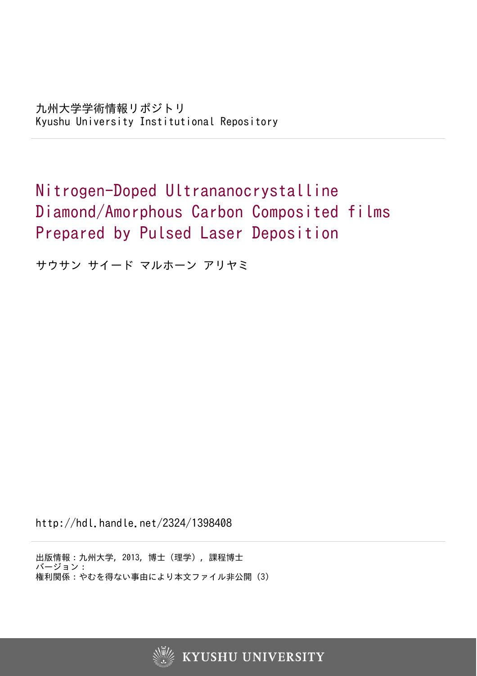## Nitrogen-Doped Ultrananocrystalline Diamond/Amorphous Carbon Composited films Prepared by Pulsed Laser Deposition

サウサン サイード マルホーン アリヤミ

http://hdl.handle.net/2324/1398408

出版情報:九州大学, 2013, 博士(理学), 課程博士 バージョン: 権利関係:やむを得ない事由により本文ファイル非公開 (3)

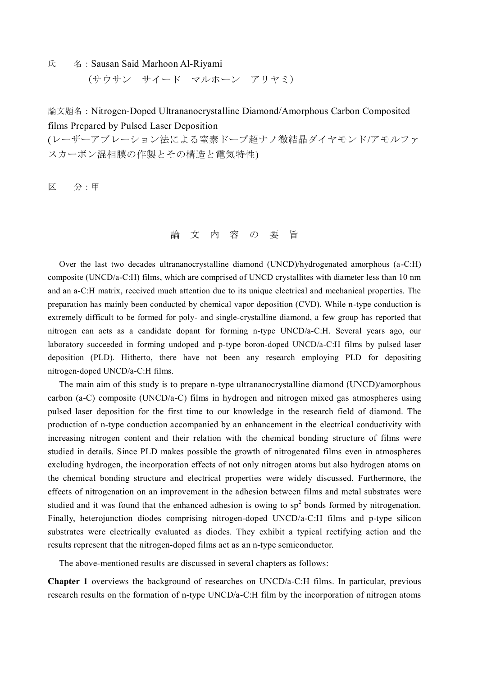氏 名: Sausan Said Marhoon Al-Riyami

(サウサン サイード マルホーン アリヤミ)

論文題名:Nitrogen-Doped Ultrananocrystalline Diamond/Amorphous Carbon Composited films Prepared by Pulsed Laser Deposition

(レーザーアブレーション法による窒素ドープ超ナノ微結晶ダイヤモンド/アモルファ スカーボン混相膜の作製とその構造と電気特性)

区 分:甲

論 文 内 容 の 要 旨

Over the last two decades ultrananocrystalline diamond (UNCD)/hydrogenated amorphous (a-C:H) composite (UNCD/a-C:H) films, which are comprised of UNCD crystallites with diameter less than 10 nm and an a-C:H matrix, received much attention due to its unique electrical and mechanical properties. The preparation has mainly been conducted by chemical vapor deposition (CVD). While n-type conduction is extremely difficult to be formed for poly- and single-crystalline diamond, a few group has reported that nitrogen can acts as a candidate dopant for forming n-type UNCD/a-C:H. Several years ago, our laboratory succeeded in forming undoped and p-type boron-doped UNCD/a-C:H films by pulsed laser deposition (PLD). Hitherto, there have not been any research employing PLD for depositing nitrogen-doped UNCD/a-C:H films.

The main aim of this study is to prepare n-type ultrananocrystalline diamond (UNCD)/amorphous carbon (a-C) composite (UNCD/a-C) films in hydrogen and nitrogen mixed gas atmospheres using pulsed laser deposition for the first time to our knowledge in the research field of diamond. The production of n-type conduction accompanied by an enhancement in the electrical conductivity with increasing nitrogen content and their relation with the chemical bonding structure of films were studied in details. Since PLD makes possible the growth of nitrogenated films even in atmospheres excluding hydrogen, the incorporation effects of not only nitrogen atoms but also hydrogen atoms on the chemical bonding structure and electrical properties were widely discussed. Furthermore, the effects of nitrogenation on an improvement in the adhesion between films and metal substrates were studied and it was found that the enhanced adhesion is owing to  $sp<sup>2</sup>$  bonds formed by nitrogenation. Finally, heterojunction diodes comprising nitrogen-doped UNCD/a-C:H films and p-type silicon substrates were electrically evaluated as diodes. They exhibit a typical rectifying action and the results represent that the nitrogen-doped films act as an n-type semiconductor.

The above-mentioned results are discussed in several chapters as follows:

**Chapter 1** overviews the background of researches on UNCD/a-C:H films. In particular, previous research results on the formation of n-type UNCD/a-C:H film by the incorporation of nitrogen atoms